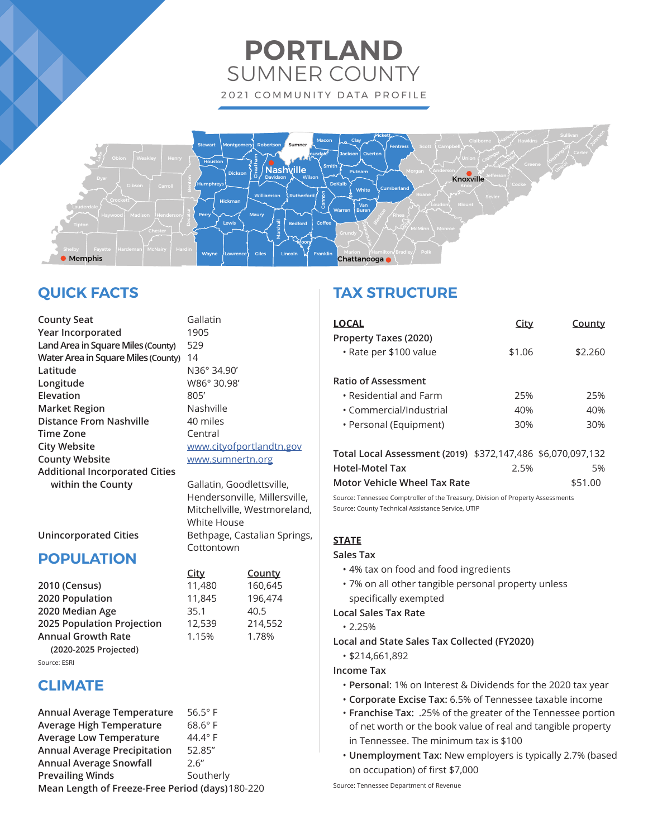# **PORTLAND** SUMNER COUNTY 2021 COMMUNITY DATA PROFILE



# **QUICK FACTS**

**County Seat** Gallatin **Year Incorporated** 1905 **Land Area in Square Miles (County)** 529 **Water Area in Square Miles (County)** 14 **Latitude** N36° 34.90' **Longitude** W86° 30.98' **Elevation** 805' **Market Region** Nashville **Distance From Nashville** 40 miles **Time Zone** Central **City Website With Website** www.cityofportlandtn.gov **County Website With Marson WWW.sumnertn.org Additional Incorporated Cities**  within the County **Gallatin**, Goodlettsville,

 Hendersonville, Millersville, Mitchellville, Westmoreland, White House Unincorporated Cities **Bethpage, Castalian Springs**, **Cottontown** 

 **City County**

|  | <b>DADIII ATIANI</b> |  |
|--|----------------------|--|

- **POPULATION**
- **2010 (Census)** 11,480 160,645 **2020 Population** 11,845 196,474 **2020 Median Age** 35.1 40.5 **2025 Population Projection** 12,539 214,552 **Annual Growth Rate** 1.15% 1.78% **(2020-2025 Projected)** Source: ESRI

# **CLIMATE**

| Annual Average Temperature                       | $56.5^\circ$ F |  |
|--------------------------------------------------|----------------|--|
| <b>Average High Temperature</b>                  | $68.6^\circ$ F |  |
| <b>Average Low Temperature</b>                   | $44.4^\circ$ F |  |
| <b>Annual Average Precipitation</b>              | 52.85"         |  |
| <b>Annual Average Snowfall</b>                   | 2.6''          |  |
| <b>Prevailing Winds</b>                          | Southerly      |  |
| Mean Length of Freeze-Free Period (days) 180-220 |                |  |

# **TAX STRUCTURE**

| LOCAL                                           | City   | County  |
|-------------------------------------------------|--------|---------|
| Property Taxes (2020)<br>• Rate per \$100 value | \$1.06 | \$2.260 |
| Ratio of Assessment                             |        |         |
| $\cdot$ Residential and Farm                    | 25%    | 25%     |
| • Commercial/Industrial                         | 40%    | 40%     |
| • Personal (Equipment)                          | 30%    | 30%     |
|                                                 |        |         |

| Total Local Assessment (2019) \$372,147,486 \$6,070,097,132 |      |         |
|-------------------------------------------------------------|------|---------|
| Hotel-Motel Tax                                             | 2.5% | .5%     |
| Motor Vehicle Wheel Tax Rate                                |      | \$51.00 |

Source: Tennessee Comptroller of the Treasury, Division of Property Assessments Source: County Technical Assistance Service, UTIP

# **STATE**

## **Sales Tax**

- 4% tax on food and food ingredients
- 7% on all other tangible personal property unless specifically exempted

# **Local Sales Tax Rate**

• 2.25%

- **Local and State Sales Tax Collected (FY2020)**
	- \$214,661,892

# **Income Tax**

- **Personal**: 1% on Interest & Dividends for the 2020 tax year
- **Corporate Excise Tax:** 6.5% of Tennessee taxable income
- **Franchise Tax:** .25% of the greater of the Tennessee portion of net worth or the book value of real and tangible property in Tennessee. The minimum tax is \$100
- **Unemployment Tax:** New employers is typically 2.7% (based on occupation) of first \$7,000

Source: Tennessee Department of Revenue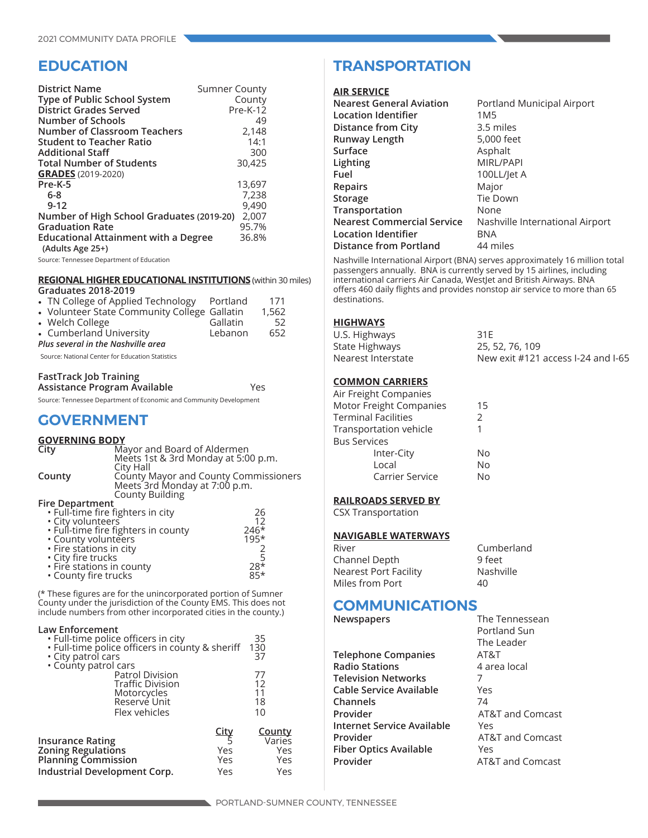# **EDUCATION**

| <b>District Name</b><br>Type of Public School System<br>District Grades Served<br>Number of Schools | <b>Sumner County</b><br>County<br>Pre-K-12<br>49 |
|-----------------------------------------------------------------------------------------------------|--------------------------------------------------|
| <b>Number of Classroom Teachers</b>                                                                 | 2,148<br>14:1                                    |
| <b>Student to Teacher Ratio</b>                                                                     |                                                  |
| <b>Additional Staff</b>                                                                             | 300                                              |
| <b>Total Number of Students</b>                                                                     | 30,425                                           |
| <b>GRADES</b> (2019-2020)                                                                           |                                                  |
| Pre-K-5                                                                                             | 13,697                                           |
| $6-8$                                                                                               | 7,238                                            |
| $9 - 12$                                                                                            | 9,490                                            |
| Number of High School Graduates (2019-20)                                                           | 2,007                                            |
| <b>Graduation Rate</b>                                                                              | 95.7%                                            |
| <b>Educational Attainment with a Degree</b>                                                         | 36.8%                                            |
| (Adults Age 25+)                                                                                    |                                                  |

Source: Tennessee Department of Education

### **REGIONAL HIGHER EDUCATIONAL INSTITUTIONS** (within 30 miles) **Graduates 2018-2019**

| • TN College of Applied Technology Portland<br>• Volunteer State Community College Gallatin<br>• Welch College<br>• Cumberland University<br>Plus several in the Nashville area | Gallatin<br>Lebanon | 171<br>1,562<br>52<br>652 |
|---------------------------------------------------------------------------------------------------------------------------------------------------------------------------------|---------------------|---------------------------|
|                                                                                                                                                                                 |                     |                           |
| Source: National Center for Education Statistics                                                                                                                                |                     |                           |

### **FastTrack Job Training**

| Assistance Program Available |  | Yes |
|------------------------------|--|-----|
|                              |  |     |

Source: Tennessee Department of Economic and Community Development

# **GOVERNMENT**

# **GOVERNING BODY**

| County Mayor and County Commissioners |
|---------------------------------------|
|                                       |
|                                       |
|                                       |
|                                       |
|                                       |
|                                       |
|                                       |
|                                       |
|                                       |
|                                       |
|                                       |
|                                       |

(\* These figures are for the unincorporated portion of Sumner County under the jurisdiction of the County EMS. This does not include numbers from other incorporated cities in the county.)

### **Law Enforcement**

| • Full-time police officers in city<br>· Full-time police officers in county & sheriff<br>• City patrol cars       |                                  | 35<br>130<br>37                              |
|--------------------------------------------------------------------------------------------------------------------|----------------------------------|----------------------------------------------|
| . County patrol cars<br>Patrol Division<br>Traffic Division<br>Motorcycles<br>Reservé Unit<br>Flex vehicles        |                                  | 77<br>12<br>11<br>18<br>10                   |
| <b>Insurance Rating</b><br><b>Zoning Regulations</b><br><b>Planning Commission</b><br>Industrial Development Corp. | <u>City</u><br>Yes<br>Yes<br>Yes | <b>County</b><br>Varies<br>Yes<br>Yes<br>Yes |

# **TRANSPORTATION**

### **AIR SERVICE**

| <b>Nearest General Aviation</b>   | Portland Municipal Airport      |
|-----------------------------------|---------------------------------|
| Location Identifier               | 1M5                             |
| <b>Distance from City</b>         | 3.5 miles                       |
| Runway Length                     | 5,000 feet                      |
| Surface                           | Asphalt                         |
| Lighting                          | <b>MIRL/PAPI</b>                |
| Fuel                              | 100LL/Jet A                     |
| <b>Repairs</b>                    | Major                           |
| Storage                           | Tie Down                        |
| Transportation                    | None                            |
| <b>Nearest Commercial Service</b> | Nashville International Airport |
| Location Identifier               | <b>BNA</b>                      |
| <b>Distance from Portland</b>     | 44 miles                        |
|                                   |                                 |

Nashville International Airport (BNA) serves approximately 16 million total passengers annually. BNA is currently served by 15 airlines, including international carriers Air Canada, WestJet and British Airways. BNA offers 460 daily flights and provides nonstop air service to more than 65 destinations.

### **HIGHWAYS**

| U.S. Highways      | 31F                                |
|--------------------|------------------------------------|
| State Highways     | 25, 52, 76, 109                    |
| Nearest Interstate | New exit #121 access I-24 and I-65 |

## **COMMON CARRIERS**

| Air Freight Companies   |    |
|-------------------------|----|
| Motor Freight Companies | 15 |
| Terminal Facilities     | 2  |
| Transportation vehicle  |    |
| <b>Bus Services</b>     |    |
| Inter-City              | No |
| Local                   | No |
| Carrier Service         | N٥ |

# **RAILROADS SERVED BY**

CSX Transportation

## **NAVIGABLE WATERWAYS**

| River                 | Cumberland |
|-----------------------|------------|
| Channel Depth         | 9 feet     |
| Nearest Port Facility | Nashville  |
| Miles from Port       | 40         |
|                       |            |

# **COMMUNICATIONS**

**Newspapers** The Tennessean

**Telephone Companies** AT&T **Radio Stations** 4 area local **Television Networks** 7 **Cable Service Available** Yes **Channels** 74 **Provider** AT&T and Comcast **Internet Service Available** Yes **Provider AT&T** and Comcast **Fiber Optics Available** Yes **Provider** AT&T and Comcast

Portland Sun The Leader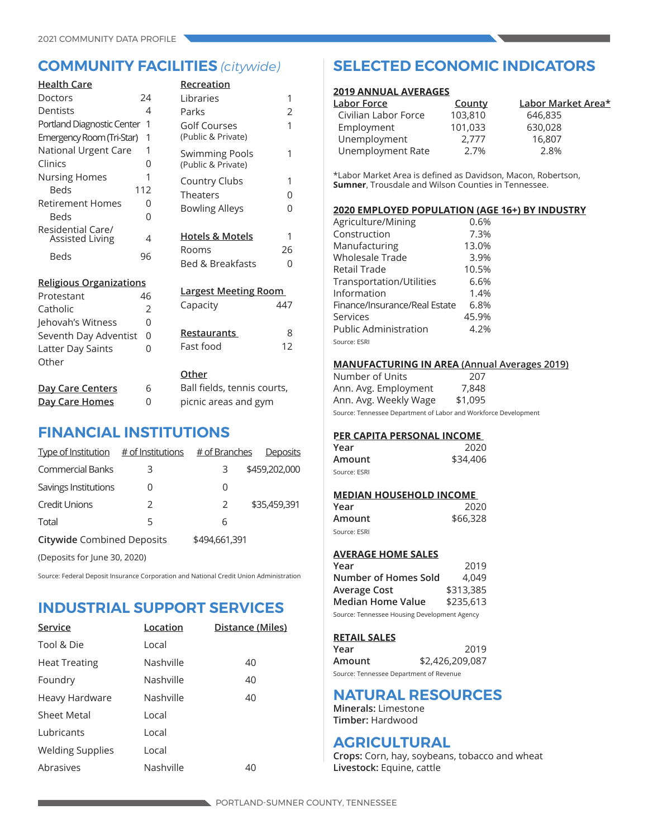| <b>Health Care</b>                          |                | Recreation                  |     |
|---------------------------------------------|----------------|-----------------------------|-----|
| Doctors                                     | 24             | Libraries                   | 1   |
| Dentists                                    | 4              | Parks                       | 2   |
| Portland Diagnostic Center                  | 1              | Golf Courses                | 1   |
| Emergency Room (Tri-Star)                   | 1              | (Public & Private)          |     |
| National Urgent Care                        | 1              | <b>Swimming Pools</b>       | 1   |
| Clinics                                     | 0              | (Public & Private)          |     |
| <b>Nursing Homes</b>                        | 1              | Country Clubs               | 1   |
| <b>Beds</b>                                 | 112            | <b>Theaters</b>             | 0   |
| <b>Retirement Homes</b>                     | 0              | <b>Bowling Alleys</b>       | 0   |
| <b>Beds</b>                                 | 0              |                             |     |
| Residential Care/<br><b>Assisted Living</b> | 4              | <b>Hotels &amp; Motels</b>  | 1   |
| Beds                                        | 96             | Rooms                       | 26  |
|                                             |                | <b>Bed &amp; Breakfasts</b> | 0   |
| <b>Religious Organizations</b>              |                |                             |     |
| Protestant                                  | 46             | <b>Largest Meeting Room</b> |     |
| Catholic                                    | $\overline{2}$ | Capacity                    | 447 |
| Jehovah's Witness                           | 0              |                             |     |
| Seventh Day Adventist                       | 0              | <b>Restaurants</b>          | 8   |
| Latter Day Saints                           | 0              | Fast food                   | 12  |
| Other                                       |                |                             |     |
|                                             |                | Other                       |     |
| <b>Day Care Centers</b>                     | 6              | Ball fields, tennis courts, |     |
| Day Care Homes                              | 0              | picnic areas and gym        |     |

# **FINANCIAL INSTITUTIONS**

| Type of Institution $#$ of Institutions |               | # of Branches | Deposits      |
|-----------------------------------------|---------------|---------------|---------------|
| <b>Commercial Banks</b>                 | 3             | З             | \$459,202,000 |
| Savings Institutions                    | O             | 0             |               |
| <b>Credit Unions</b>                    | $\mathcal{P}$ | 2             | \$35,459,391  |
| Total                                   | 5             | 6             |               |
| <b>Citywide Combined Deposits</b>       |               | \$494,661,391 |               |
| (Deposits for June 30, 2020)            |               |               |               |

Source: Federal Deposit Insurance Corporation and National Credit Union Administration

# **INDUSTRIAL SUPPORT SERVICES**

| Service                 | Location  | Distance (Miles) |
|-------------------------|-----------|------------------|
| Tool & Die              | Local     |                  |
| <b>Heat Treating</b>    | Nashville | 40               |
| Foundry                 | Nashville | 40               |
| Heavy Hardware          | Nashville | 40               |
| <b>Sheet Metal</b>      | Local     |                  |
| Lubricants              | Local     |                  |
| <b>Welding Supplies</b> | Local     |                  |
| Abrasives               | Nashville | 40               |

# **COMMUNITY FACILITIES** *(citywide)* **SELECTED ECONOMIC INDICATORS**

## **2019 ANNUAL AVERAGES**

| County  | Labor Market Area* |
|---------|--------------------|
| 103,810 | 646,835            |
| 101,033 | 630,028            |
| 2.777   | 16,807             |
| 2.7%    | 2.8%               |
|         |                    |

\*Labor Market Area is defined as Davidson, Macon, Robertson, **Sumner**, Trousdale and Wilson Counties in Tennessee.

## **2020 EMPLOYED POPULATION (AGE 16+) BY INDUSTRY**

| Agriculture/Mining            | 0.6%  |
|-------------------------------|-------|
| Construction                  | 7.3%  |
| Manufacturing                 | 13.0% |
| Wholesale Trade               | 3.9%  |
| Retail Trade                  | 10.5% |
| Transportation/Utilities      | 6.6%  |
| Information                   | 1.4%  |
| Finance/Insurance/Real Estate | 6.8%  |
| Services                      | 45.9% |
| <b>Public Administration</b>  | 4.2%  |
| Source: ESRI                  |       |

## **MANUFACTURING IN AREA (Annual Averages 2019)**

| Number of Units       | 207      |
|-----------------------|----------|
| Ann. Avg. Employment  | 7,848    |
| Ann. Avg. Weekly Wage | \$1,095  |
|                       | $\cdots$ |

Source: Tennessee Department of Labor and Workforce Development

# **PER CAPITA PERSONAL INCOME**

| Year         | 2020     |
|--------------|----------|
| Amount       | \$34,406 |
| Source: ESRI |          |

# **MEDIAN HOUSEHOLD INCOME**

| Year         | 2020     |
|--------------|----------|
| Amount       | \$66,328 |
| Source: ESRI |          |

# **AVERAGE HOME SALES**

| Year                                         | 2019      |  |
|----------------------------------------------|-----------|--|
| Number of Homes Sold                         | 4.049     |  |
| Average Cost                                 | \$313,385 |  |
| <b>Median Home Value</b>                     | \$235,613 |  |
| Source: Tennessee Housing Development Agency |           |  |

## **RETAIL SALES**

| Year                                    | 2019            |
|-----------------------------------------|-----------------|
| Amount                                  | \$2,426,209,087 |
| Source: Tennessee Department of Revenue |                 |

# **NATURAL RESOURCES**

**Minerals:** Limestone **Timber:** Hardwood

# **AGRICULTURAL**

**Crops:** Corn, hay, soybeans, tobacco and wheat **Livestock:** Equine, cattle